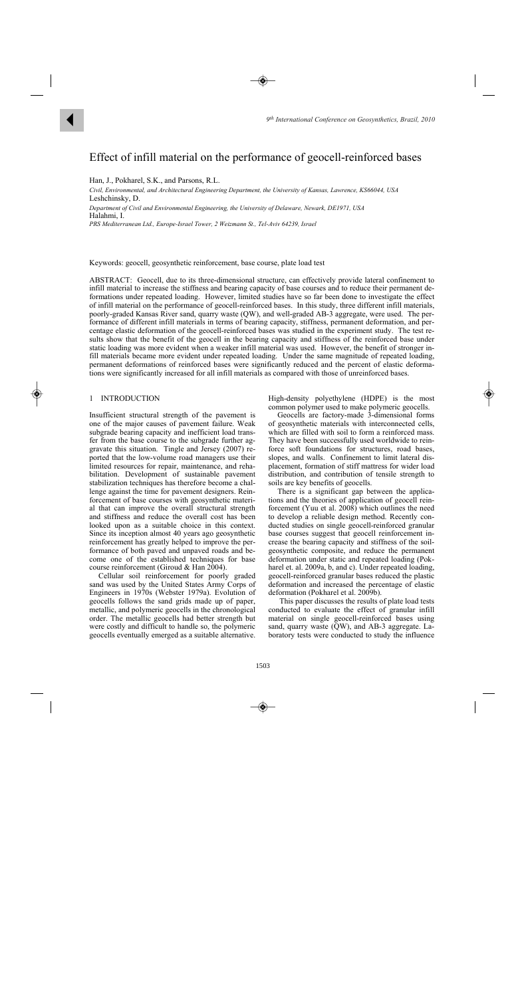# Effect of infill material on the performance of geocell-reinforced bases

Han, J., Pokharel, S.K., and Parsons, R.L.

 $\blacktriangleleft$ 

*Civil, Environmental, and Architectural Engineering Department, the University of Kansas, Lawrence, KS66044, USA*  Leshchinsky, D.

*Department of Civil and Environmental Engineering, the University of Delaware, Newark, DE1971, USA* Halahmi, I.

*PRS Mediterranean Ltd., Europe-Israel Tower, 2 Weizmann St., Tel-Aviv 64239, Israel* 

Keywords: geocell, geosynthetic reinforcement, base course, plate load test

ABSTRACT: Geocell, due to its three-dimensional structure, can effectively provide lateral confinement to infill material to increase the stiffness and bearing capacity of base courses and to reduce their permanent deformations under repeated loading. However, limited studies have so far been done to investigate the effect of infill material on the performance of geocell-reinforced bases. In this study, three different infill materials, poorly-graded Kansas River sand, quarry waste (QW), and well-graded AB-3 aggregate, were used. The performance of different infill materials in terms of bearing capacity, stiffness, permanent deformation, and percentage elastic deformation of the geocell-reinforced bases was studied in the experiment study. The test results show that the benefit of the geocell in the bearing capacity and stiffness of the reinforced base under static loading was more evident when a weaker infill material was used. However, the benefit of stronger infill materials became more evident under repeated loading. Under the same magnitude of repeated loading, permanent deformations of reinforced bases were significantly reduced and the percent of elastic deformations were significantly increased for all infill materials as compared with those of unreinforced bases.

# 1 INTRODUCTION

Insufficient structural strength of the pavement is one of the major causes of pavement failure. Weak subgrade bearing capacity and inefficient load transfer from the base course to the subgrade further aggravate this situation. Tingle and Jersey (2007) reported that the low-volume road managers use their limited resources for repair, maintenance, and rehabilitation. Development of sustainable pavement stabilization techniques has therefore become a challenge against the time for pavement designers. Reinforcement of base courses with geosynthetic material that can improve the overall structural strength and stiffness and reduce the overall cost has been looked upon as a suitable choice in this context. Since its inception almost 40 years ago geosynthetic reinforcement has greatly helped to improve the performance of both paved and unpaved roads and become one of the established techniques for base course reinforcement (Giroud & Han 2004).

Cellular soil reinforcement for poorly graded sand was used by the United States Army Corps of Engineers in 1970s (Webster 1979a). Evolution of geocells follows the sand grids made up of paper, metallic, and polymeric geocells in the chronological order. The metallic geocells had better strength but were costly and difficult to handle so, the polymeric geocells eventually emerged as a suitable alternative.

High-density polyethylene (HDPE) is the most common polymer used to make polymeric geocells.

Geocells are factory-made 3-dimensional forms of geosynthetic materials with interconnected cells, which are filled with soil to form a reinforced mass. They have been successfully used worldwide to reinforce soft foundations for structures, road bases, slopes, and walls. Confinement to limit lateral displacement, formation of stiff mattress for wider load distribution, and contribution of tensile strength to soils are key benefits of geocells.

There is a significant gap between the applications and the theories of application of geocell reinforcement (Yuu et al. 2008) which outlines the need to develop a reliable design method. Recently conducted studies on single geocell-reinforced granular base courses suggest that geocell reinforcement increase the bearing capacity and stiffness of the soilgeosynthetic composite, and reduce the permanent deformation under static and repeated loading (Pokharel et. al. 2009a, b, and c). Under repeated loading, geocell-reinforced granular bases reduced the plastic deformation and increased the percentage of elastic deformation (Pokharel et al. 2009b).

 This paper discusses the results of plate load tests conducted to evaluate the effect of granular infill material on single geocell-reinforced bases using sand, quarry waste (QW), and AB-3 aggregate. Laboratory tests were conducted to study the influence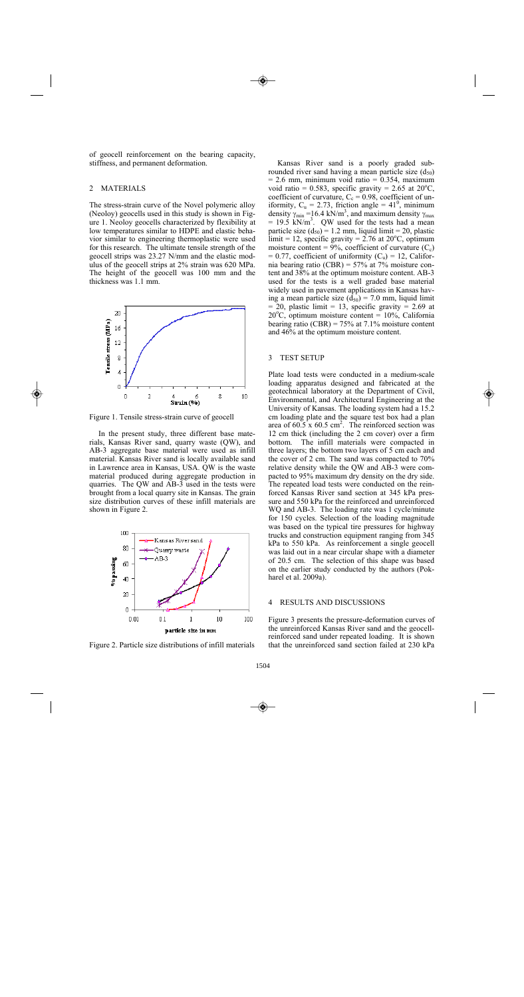of geocell reinforcement on the bearing capacity, stiffness, and permanent deformation.

# 2 MATERIALS

The stress-strain curve of the Novel polymeric alloy (Neoloy) geocells used in this study is shown in Figure 1. Neoloy geocells characterized by flexibility at low temperatures similar to HDPE and elastic behavior similar to engineering thermoplastic were used for this research. The ultimate tensile strength of the geocell strips was 23.27 N/mm and the elastic modulus of the geocell strips at 2% strain was 620 MPa. The height of the geocell was 100 mm and the thickness was 1.1 mm.



Figure 1. Tensile stress-strain curve of geocell

In the present study, three different base materials, Kansas River sand, quarry waste (QW), and AB-3 aggregate base material were used as infill material. Kansas River sand is locally available sand in Lawrence area in Kansas, USA. QW is the waste material produced during aggregate production in quarries. The QW and AB-3 used in the tests were brought from a local quarry site in Kansas. The grain size distribution curves of these infill materials are shown in Figure 2.



Figure 2. Particle size distributions of infill materials

Kansas River sand is a poorly graded subrounded river sand having a mean particle size  $(d_{50})$  $= 2.6$  mm, minimum void ratio  $= 0.354$ , maximum void ratio = 0.583, specific gravity =  $2.65$  at  $20^{\circ}$ C, coefficient of curvature,  $C_c = 0.98$ , coefficient of uniformity,  $C_u = 2.73$ , friction angle = 41<sup>0</sup>, minimum density  $\gamma_{\text{min}} = 16.4 \text{ kN/m}^3$ , and maximum density  $\gamma_{\text{max}}$  $= 19.5$  kN/m<sup>3</sup>. QW used for the tests had a mean particle size  $(d_{50}) = 1.2$  mm, liquid limit = 20, plastic  $\text{limit} = 12$ , specific gravity = 2.76 at 20<sup>o</sup>C, optimum moisture content =  $9\%$ , coefficient of curvature (C<sub>c</sub>)  $= 0.77$ , coefficient of uniformity  $(C_u) = 12$ , California bearing ratio (CBR) = 57% at 7% moisture content and 38% at the optimum moisture content. AB-3 used for the tests is a well graded base material widely used in pavement applications in Kansas having a mean particle size  $(d_{50}) = 7.0$  mm, liquid limit  $= 20$ , plastic limit  $= 13$ , specific gravity  $= 2.69$  at 20°C, optimum moisture content = 10%, California bearing ratio (CBR) =  $75\%$  at 7.1% moisture content and 46% at the optimum moisture content.

## 3 TEST SETUP

Plate load tests were conducted in a medium-scale loading apparatus designed and fabricated at the geotechnical laboratory at the Department of Civil, Environmental, and Architectural Engineering at the University of Kansas. The loading system had a 15.2 cm loading plate and the square test box had a plan area of  $60.5 \times 60.5$  cm<sup>2</sup>. The reinforced section was 12 cm thick (including the 2 cm cover) over a firm bottom. The infill materials were compacted in three layers; the bottom two layers of 5 cm each and the cover of 2 cm. The sand was compacted to 70% relative density while the QW and AB-3 were compacted to 95% maximum dry density on the dry side. The repeated load tests were conducted on the reinforced Kansas River sand section at 345 kPa pressure and 550 kPa for the reinforced and unreinforced WQ and AB-3. The loading rate was 1 cycle/minute for 150 cycles. Selection of the loading magnitude was based on the typical tire pressures for highway trucks and construction equipment ranging from 345 kPa to 550 kPa. As reinforcement a single geocell was laid out in a near circular shape with a diameter of 20.5 cm. The selection of this shape was based on the earlier study conducted by the authors (Pokharel et al. 2009a).

#### 4 RESULTS AND DISCUSSIONS

Figure 3 presents the pressure-deformation curves of the unreinforced Kansas River sand and the geocellreinforced sand under repeated loading. It is shown that the unreinforced sand section failed at 230 kPa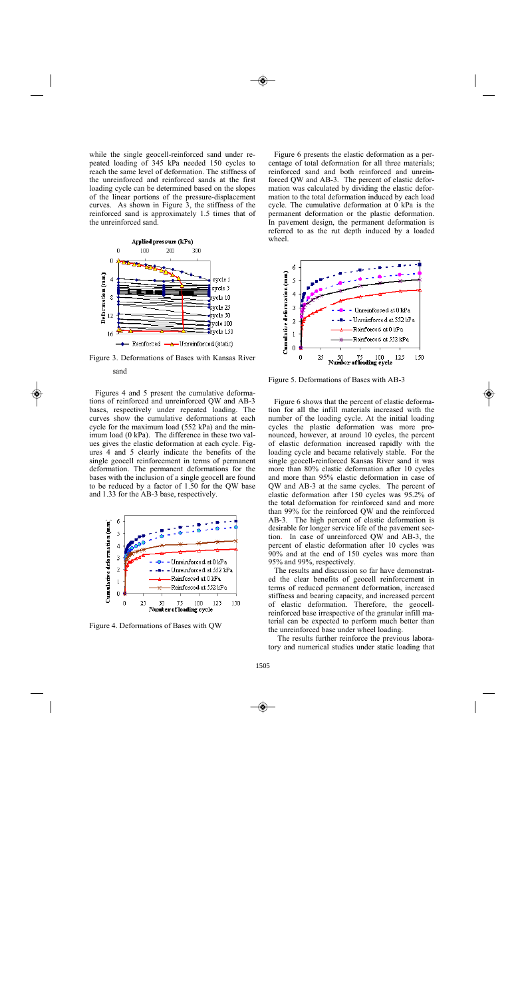while the single geocell-reinforced sand under repeated loading of 345 kPa needed 150 cycles to reach the same level of deformation. The stiffness of the unreinforced and reinforced sands at the first loading cycle can be determined based on the slopes of the linear portions of the pressure-displacement curves. As shown in Figure 3, the stiffness of the reinforced sand is approximately 1.5 times that of the unreinforced sand.



Figure 3. Deformations of Bases with Kansas River sand

Figures 4 and 5 present the cumulative deformations of reinforced and unreinforced QW and AB-3 bases, respectively under repeated loading. The curves show the cumulative deformations at each cycle for the maximum load (552 kPa) and the minimum load (0 kPa). The difference in these two values gives the elastic deformation at each cycle. Figures 4 and 5 clearly indicate the benefits of the single geocell reinforcement in terms of permanent deformation. The permanent deformations for the bases with the inclusion of a single geocell are found to be reduced by a factor of 1.50 for the QW base and 1.33 for the AB-3 base, respectively.



Figure 4. Deformations of Bases with QW

Figure 6 presents the elastic deformation as a percentage of total deformation for all three materials; reinforced sand and both reinforced and unreinforced QW and AB-3. The percent of elastic deformation was calculated by dividing the elastic deformation to the total deformation induced by each load cycle. The cumulative deformation at 0 kPa is the permanent deformation or the plastic deformation. In pavement design, the permanent deformation is referred to as the rut depth induced by a loaded wheel.



Figure 5. Deformations of Bases with AB-3

Figure 6 shows that the percent of elastic deformation for all the infill materials increased with the number of the loading cycle. At the initial loading cycles the plastic deformation was more pronounced, however, at around 10 cycles, the percent of elastic deformation increased rapidly with the loading cycle and became relatively stable. For the single geocell-reinforced Kansas River sand it was more than 80% elastic deformation after 10 cycles and more than 95% elastic deformation in case of QW and AB-3 at the same cycles. The percent of elastic deformation after 150 cycles was 95.2% of the total deformation for reinforced sand and more than 99% for the reinforced QW and the reinforced AB-3. The high percent of elastic deformation is desirable for longer service life of the pavement section. In case of unreinforced QW and AB-3, the percent of elastic deformation after 10 cycles was 90% and at the end of 150 cycles was more than 95% and 99%, respectively.

The results and discussion so far have demonstrated the clear benefits of geocell reinforcement in terms of reduced permanent deformation, increased stiffness and bearing capacity, and increased percent of elastic deformation. Therefore, the geocellreinforced base irrespective of the granular infill material can be expected to perform much better than the unreinforced base under wheel loading.

The results further reinforce the previous laboratory and numerical studies under static loading that